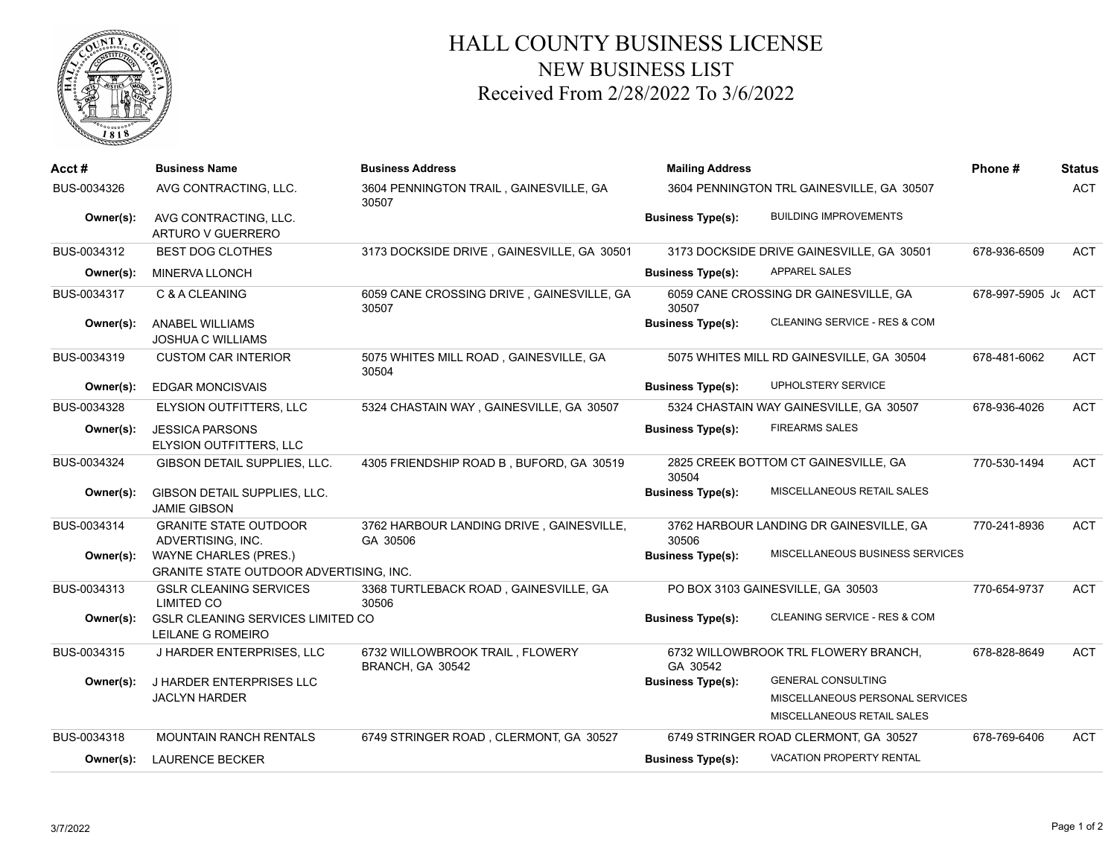

## HALL COUNTY BUSINESS LICENSE NEW BUSINESS LIST Received From 2/28/2022 To 3/6/2022

| Acct#       | <b>Business Name</b>                                                    | <b>Business Address</b>                              | <b>Mailing Address</b>                    | Phone#                                    | <b>Status</b>       |            |
|-------------|-------------------------------------------------------------------------|------------------------------------------------------|-------------------------------------------|-------------------------------------------|---------------------|------------|
| BUS-0034326 | AVG CONTRACTING, LLC.                                                   | 3604 PENNINGTON TRAIL, GAINESVILLE, GA<br>30507      | 3604 PENNINGTON TRL GAINESVILLE, GA 30507 |                                           | <b>ACT</b>          |            |
| Owner(s):   | AVG CONTRACTING, LLC.<br>ARTURO V GUERRERO                              |                                                      | <b>Business Type(s):</b>                  | <b>BUILDING IMPROVEMENTS</b>              |                     |            |
| BUS-0034312 | <b>BEST DOG CLOTHES</b>                                                 | 3173 DOCKSIDE DRIVE, GAINESVILLE, GA 30501           |                                           | 3173 DOCKSIDE DRIVE GAINESVILLE, GA 30501 | 678-936-6509        | ACT        |
| Owner(s):   | MINERVA LLONCH                                                          |                                                      | <b>Business Type(s):</b>                  | <b>APPAREL SALES</b>                      |                     |            |
| BUS-0034317 | C & A CLEANING                                                          | 6059 CANE CROSSING DRIVE, GAINESVILLE, GA<br>30507   | 30507                                     | 6059 CANE CROSSING DR GAINESVILLE, GA     | 678-997-5905 Jc ACT |            |
| Owner(s):   | ANABEL WILLIAMS<br><b>JOSHUA C WILLIAMS</b>                             |                                                      | <b>Business Type(s):</b>                  | CLEANING SERVICE - RES & COM              |                     |            |
| BUS-0034319 | <b>CUSTOM CAR INTERIOR</b>                                              | 5075 WHITES MILL ROAD, GAINESVILLE, GA<br>30504      |                                           | 5075 WHITES MILL RD GAINESVILLE, GA 30504 | 678-481-6062        | <b>ACT</b> |
| Owner(s):   | EDGAR MONCISVAIS                                                        |                                                      | <b>Business Type(s):</b>                  | UPHOLSTERY SERVICE                        |                     |            |
| BUS-0034328 | ELYSION OUTFITTERS, LLC                                                 | 5324 CHASTAIN WAY, GAINESVILLE, GA 30507             |                                           | 5324 CHASTAIN WAY GAINESVILLE, GA 30507   | 678-936-4026        | <b>ACT</b> |
| Owner(s):   | <b>JESSICA PARSONS</b><br>ELYSION OUTFITTERS, LLC                       |                                                      | <b>Business Type(s):</b>                  | <b>FIREARMS SALES</b>                     |                     |            |
| BUS-0034324 | GIBSON DETAIL SUPPLIES, LLC.                                            | 4305 FRIENDSHIP ROAD B, BUFORD, GA 30519             | 30504                                     | 2825 CREEK BOTTOM CT GAINESVILLE, GA      | 770-530-1494        | <b>ACT</b> |
| Owner(s):   | GIBSON DETAIL SUPPLIES, LLC.<br><b>JAMIE GIBSON</b>                     |                                                      | <b>Business Type(s):</b>                  | MISCELLANEOUS RETAIL SALES                |                     |            |
| BUS-0034314 | <b>GRANITE STATE OUTDOOR</b><br>ADVERTISING, INC.                       | 3762 HARBOUR LANDING DRIVE, GAINESVILLE,<br>GA 30506 | 30506                                     | 3762 HARBOUR LANDING DR GAINESVILLE, GA   | 770-241-8936        | <b>ACT</b> |
| Owner(s):   | WAYNE CHARLES (PRES.)<br><b>GRANITE STATE OUTDOOR ADVERTISING, INC.</b> |                                                      | <b>Business Type(s):</b>                  | MISCELLANEOUS BUSINESS SERVICES           |                     |            |
| BUS-0034313 | <b>GSLR CLEANING SERVICES</b><br><b>LIMITED CO</b>                      | 3368 TURTLEBACK ROAD, GAINESVILLE, GA<br>30506       |                                           | PO BOX 3103 GAINESVILLE, GA 30503         | 770-654-9737        | <b>ACT</b> |
| Owner(s):   | <b>GSLR CLEANING SERVICES LIMITED CO</b><br>LEILANE G ROMEIRO           |                                                      | <b>Business Type(s):</b>                  | CLEANING SERVICE - RES & COM              |                     |            |
| BUS-0034315 | J HARDER ENTERPRISES, LLC                                               | 6732 WILLOWBROOK TRAIL, FLOWERY<br>BRANCH, GA 30542  | GA 30542                                  | 6732 WILLOWBROOK TRL FLOWERY BRANCH,      | 678-828-8649        | <b>ACT</b> |
| Owner(s):   | J HARDER ENTERPRISES LLC                                                |                                                      | <b>Business Type(s):</b>                  | <b>GENERAL CONSULTING</b>                 |                     |            |
|             | <b>JACLYN HARDER</b>                                                    |                                                      |                                           | MISCELLANEOUS PERSONAL SERVICES           |                     |            |
|             |                                                                         |                                                      |                                           | MISCELLANEOUS RETAIL SALES                |                     |            |
| BUS-0034318 | <b>MOUNTAIN RANCH RENTALS</b>                                           | 6749 STRINGER ROAD, CLERMONT, GA 30527               | 6749 STRINGER ROAD CLERMONT, GA 30527     |                                           | 678-769-6406        | <b>ACT</b> |
| Owner(s):   | <b>LAURENCE BECKER</b>                                                  |                                                      | <b>Business Type(s):</b>                  | <b>VACATION PROPERTY RENTAL</b>           |                     |            |
|             |                                                                         |                                                      |                                           |                                           |                     |            |